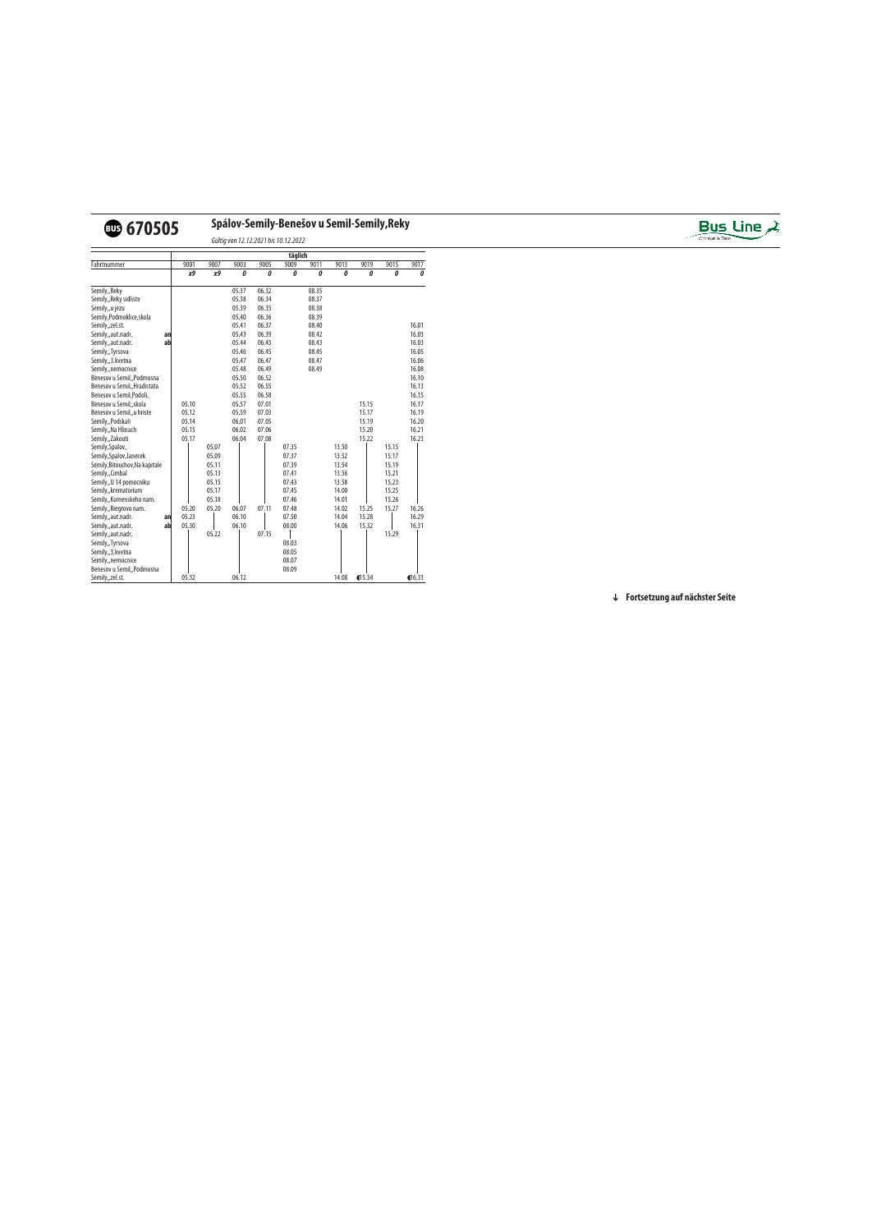## v**670505 Spálov-Semily-Benešov u Semil-Semily,Reky**



Gültig von 12.12.2021 bis 10.12.2022

|                                |    |       |       |       |       | täglich |       |       |        |       |            |
|--------------------------------|----|-------|-------|-------|-------|---------|-------|-------|--------|-------|------------|
| Fahrtnummer                    |    | 9001  | 9007  | 9003  | 9005  | 9009    | 9011  | 9013  | 9019   | 9015  | 9017       |
|                                |    | χ9    | х9    | 0     | 0     | 0       | 0     | 0     | 0      | 0     | 0          |
| Semily,, Reky                  |    |       |       | 05.37 | 06.32 |         | 08.35 |       |        |       |            |
| Semily,, Reky sidliste         |    |       |       | 05.38 | 06.34 |         | 08.37 |       |        |       |            |
| Semily,,u jezu                 |    |       |       | 05.39 | 06.35 |         | 08.38 |       |        |       |            |
| Semily, Podmoklice, skola      |    |       |       | 05.40 | 06.36 |         | 08.39 |       |        |       |            |
| Semily,,zel.st.                |    |       |       | 05.41 | 06.37 |         | 08.40 |       |        |       | 16.01      |
| Semily,,aut.nadr.              | an |       |       | 05.43 | 06.39 |         | 08.42 |       |        |       | 16.03      |
| Semily,,aut.nadr.              | ab |       |       | 05.44 | 06.43 |         | 08.43 |       |        |       | 16.03      |
| Semily,, Tyrsova               |    |       |       | 05.46 | 06.45 |         | 08.45 |       |        |       | 16.05      |
| Semily,,3. kvetna              |    |       |       | 05.47 | 06.47 |         | 08.47 |       |        |       | 16.06      |
| Semily,, nemocnice             |    |       |       | 05.48 | 06.49 |         | 08.49 |       |        |       | 16.08      |
| Benesov u Semil, Podmosna      |    |       |       | 05.50 | 06.52 |         |       |       |        |       | 16.10      |
| Benesov u Semil, Hradistata    |    |       |       | 05.52 | 06.55 |         |       |       |        |       | 16.13      |
| Benesov u Semil, Podoli,       |    |       |       | 05.55 | 06.58 |         |       |       |        |       | 16.15      |
| Benesov u Semil, skola         |    | 05.10 |       | 05.57 | 07.01 |         |       |       | 15.15  |       | 16.17      |
| Benesov u Semil,, u hriste     |    | 05.12 |       | 05.59 | 07.03 |         |       |       | 15.17  |       | 16.19      |
| Semily,,Podskali               |    | 05.14 |       | 06.01 | 07.05 |         |       |       | 15.19  |       | 16.20      |
| Semily,, Na Hlinach            |    | 05.15 |       | 06.02 | 07.06 |         |       |       | 15.20  |       | 16.21      |
| Semily, Zakouti                |    | 05.17 |       | 06.04 | 07.08 |         |       |       | 15.22  |       | 16.23      |
| Semily, Spalov,                |    |       | 05.07 |       |       | 07.35   |       | 13.50 |        | 15.15 |            |
| Semily, Spalov, Janecek        |    |       | 05.09 |       |       | 07.37   |       | 13.52 |        | 15.17 |            |
| Semily, Bitouchov, Na kapitale |    |       | 05.11 |       |       | 07.39   |       | 13.54 |        | 15.19 |            |
| Semily, Cimbal                 |    |       | 05.13 |       |       | 07.41   |       | 13.56 |        | 15.21 |            |
| Semily, U 14 pomocniku         |    |       | 05.15 |       |       | 07.43   |       | 13.58 |        | 15.23 |            |
| Semily, krematorium            |    |       | 05.17 |       |       | 07.45   |       | 14.00 |        | 15.25 |            |
| Semily,, Komenskeho nam.       |    |       | 05.18 |       |       | 07.46   |       | 14.01 |        | 15.26 |            |
| Semily, Riegrovo nam.          |    | 05.20 | 05.20 | 06.07 | 07.11 | 07.48   |       | 14.02 | 15.25  | 15.27 | 16.26      |
| Semily,,aut.nadr.              | an | 05.23 |       | 06.10 |       | 07.50   |       | 14.04 | 15.28  |       | 16.29      |
| Semily,,aut.nadr.              | ab | 05.30 |       | 06.10 |       | 08.00   |       | 14.06 | 15.32  |       | 16.31      |
| Semily,,aut.nadr.              |    |       | 05.22 |       | 07.15 |         |       |       |        | 15.29 |            |
| Semily, Tyrsova                |    |       |       |       |       | 08.03   |       |       |        |       |            |
| Semily,,3. kvetna              |    |       |       |       |       | 08.05   |       |       |        |       |            |
| Semily,, nemocnice             |    |       |       |       |       | 08.07   |       |       |        |       |            |
| Benesov u Semil,, Podmosna     |    |       |       |       |       | 08.09   |       |       |        |       |            |
| Semily,,zel.st.                |    | 05.32 |       | 06.12 |       |         |       | 14.08 | 415.34 |       | $\P$ 16.33 |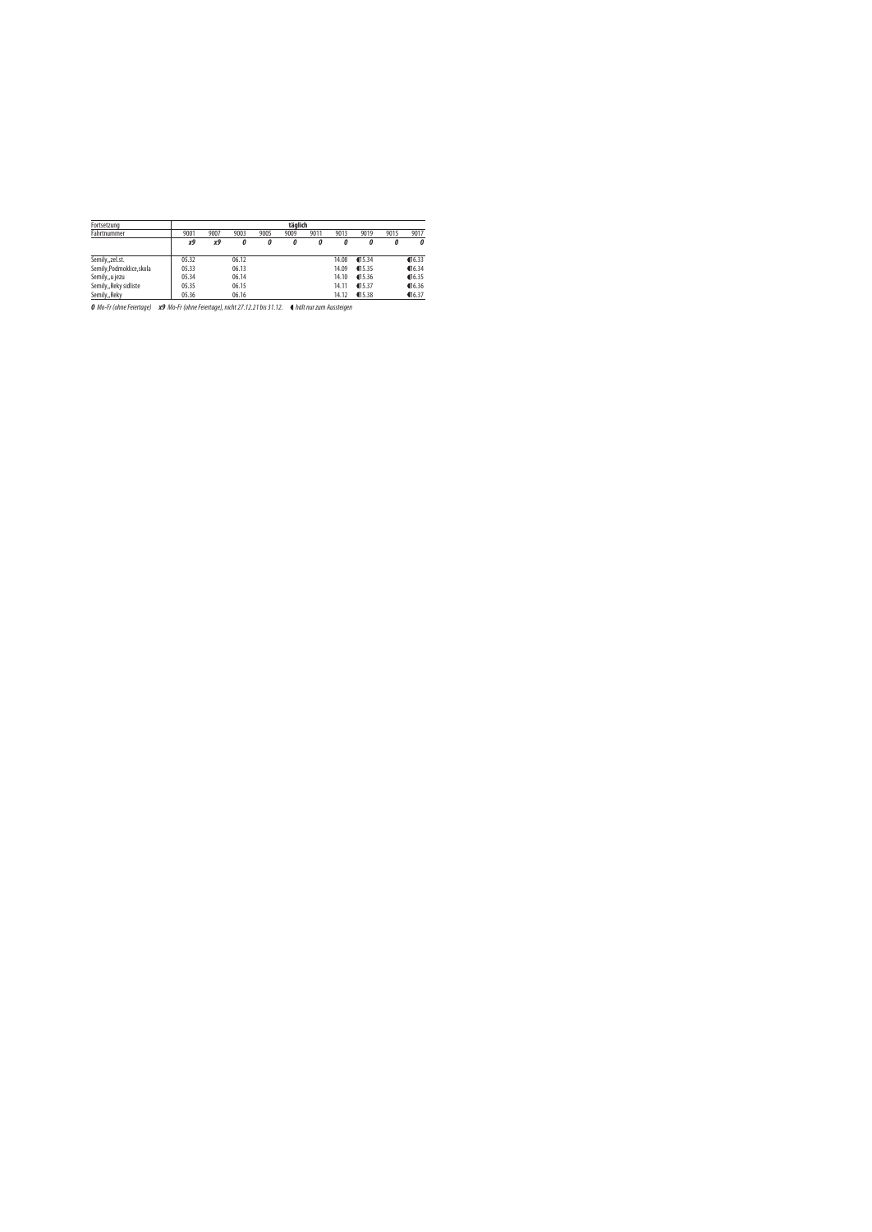| Fortsetzung               | täglich |      |       |      |      |      |       |         |      |                       |  |  |
|---------------------------|---------|------|-------|------|------|------|-------|---------|------|-----------------------|--|--|
| Fahrtnummer               | 9001    | 9007 | 9003  | 9005 | 9009 | 9011 | 9013  | 9019    | 9015 | 9017                  |  |  |
|                           | х9      | х9   | 0     | 0    | 0    | 0    | 0     | 0       | 0    | 0                     |  |  |
| Semily,,zel.st.           | 05.32   |      | 06.12 |      |      |      | 14.08 | 15.34   |      | $\P$ 16.33            |  |  |
| Semily, Podmoklice, skola | 05.33   |      | 06.13 |      |      |      | 14.09 | 15.35   |      | $\P$ <sup>16.34</sup> |  |  |
| Semily,,u jezu            | 05.34   |      | 06.14 |      |      |      | 14.10 | \$15.36 |      | $\P$ 16.35            |  |  |
| Semily,, Reky sidliste    | 05.35   |      | 06.15 |      |      |      | 14.11 | 415.37  |      | $\P$ 16.36            |  |  |
| Semily,, Reky             | 05.36   |      | 06.16 |      |      |      | 14.12 | \$15.38 |      | $\P$ 16.37            |  |  |

**0** Mo-Fr (ohne Feiertage) **x9** Mo-Fr (ohne Feiertage), nicht 27.12.21 bis 31.12. ● hält nur zum Aussteigen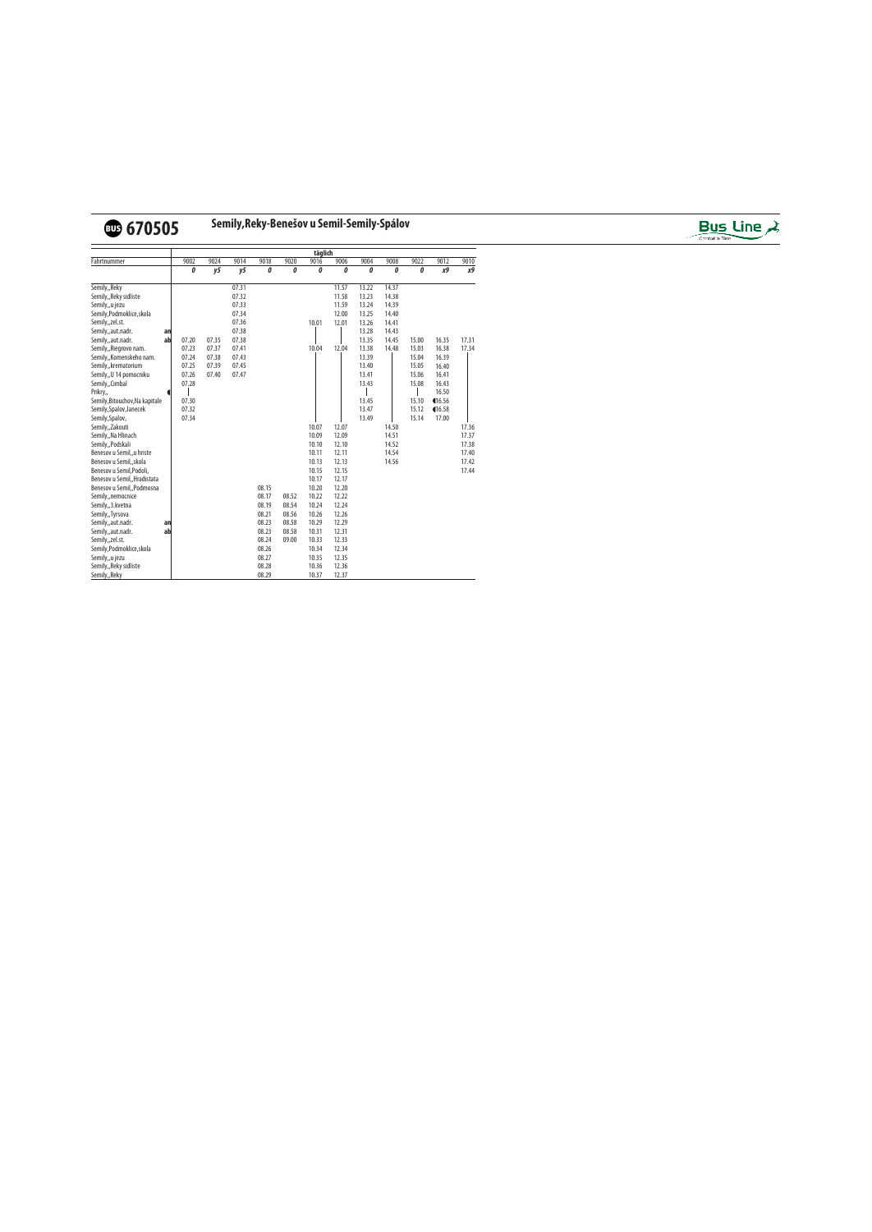

## v**670505 Semily,Reky-Benešov u Semil-Semily-Spálov**



|                                |    | täglich |       |       |       |       |       |       |       |       |       |        |       |
|--------------------------------|----|---------|-------|-------|-------|-------|-------|-------|-------|-------|-------|--------|-------|
| Fahrtnummer                    |    | 9002    | 9024  | 9014  | 9018  | 9020  | 9016  | 9006  | 9004  | 9008  | 9022  | 9012   | 9010  |
|                                |    | 0       | y5    | y5    | 0     | 0     | 0     | 0     | 0     | 0     | 0     | χ9     | χ9    |
| Semily,, Reky                  |    |         |       | 07.31 |       |       |       | 11.57 | 13.22 | 14.37 |       |        |       |
| Semily,, Reky sidliste         |    |         |       | 07.32 |       |       |       | 11.58 | 13.23 | 14.38 |       |        |       |
| Semily,,u jezu                 |    |         |       | 07.33 |       |       |       | 11.59 | 13.24 | 14.39 |       |        |       |
| Semily, Podmoklice, skola      |    |         |       | 07.34 |       |       |       | 12.00 | 13.25 | 14.40 |       |        |       |
| Semily,,zel.st.                |    |         |       | 07.36 |       |       | 10.01 | 12.01 | 13.26 | 14.41 |       |        |       |
| Semily,,aut.nadr.              | an |         |       | 07.38 |       |       |       |       | 13.28 | 14.43 |       |        |       |
| Semily,,aut.nadr.              | ab | 07.20   | 07.35 | 07.38 |       |       |       |       | 13.35 | 14.45 | 15.00 | 16.35  | 17.31 |
| Semily,, Riegrovo nam.         |    | 07.23   | 07.37 | 07.41 |       |       | 10.04 | 12.04 | 13.38 | 14.48 | 15.03 | 16.38  | 17.34 |
| Semily,, Komenskeho nam.       |    | 07.24   | 07.38 | 07.43 |       |       |       |       | 13.39 |       | 15.04 | 16.39  |       |
| Semily, krematorium            |    | 07.25   | 07.39 | 07.45 |       |       |       |       | 13.40 |       | 15.05 | 16.40  |       |
| Semily, U 14 pomocniku         |    | 07.26   | 07.40 | 07.47 |       |       |       |       | 13.41 |       | 15.06 | 16.41  |       |
| Semily,,Cimbal                 |    | 07.28   |       |       |       |       |       |       | 13.43 |       | 15.08 | 16.43  |       |
| Prikry,                        |    |         |       |       |       |       |       |       |       |       |       | 16.50  |       |
| Semily, Bitouchov, Na kapitale |    | 07.30   |       |       |       |       |       |       | 13.45 |       | 15.10 | 116.56 |       |
| Semily, Spalov, Janecek        |    | 07.32   |       |       |       |       |       |       | 13.47 |       | 15.12 | 16.58  |       |
| Semily, Spalov,                |    | 07.34   |       |       |       |       |       |       | 13.49 |       | 15.14 | 17.00  |       |
| Semily,,Zakouti                |    |         |       |       |       |       | 10.07 | 12.07 |       | 14.50 |       |        | 17.36 |
| Semily,, Na Hlinach            |    |         |       |       |       |       | 10.09 | 12.09 |       | 14.51 |       |        | 17.37 |
| Semily,, Podskali              |    |         |       |       |       |       | 10.10 | 12.10 |       | 14.52 |       |        | 17.38 |
| Benesov u Semil,, u hriste     |    |         |       |       |       |       | 10.11 | 12.11 |       | 14.54 |       |        | 17.40 |
| Benesov u Semil,, skola        |    |         |       |       |       |       | 10.13 | 12.13 |       | 14.56 |       |        | 17.42 |
| Benesov u Semil, Podoli,       |    |         |       |       |       |       | 10.15 | 12.15 |       |       |       |        | 17.44 |
| Benesov u Semil, Hradistata    |    |         |       |       |       |       | 10.17 | 12.17 |       |       |       |        |       |
| Benesov u Semil,, Podmosna     |    |         |       |       | 08.15 |       | 10.20 | 12.20 |       |       |       |        |       |
| Semily, nemocnice              |    |         |       |       | 08.17 | 08.52 | 10.22 | 12.22 |       |       |       |        |       |
| Semily,,3. kvetna              |    |         |       |       | 08.19 | 08.54 | 10.24 | 12.24 |       |       |       |        |       |
| Semily,, Tyrsova               |    |         |       |       | 08.21 | 08.56 | 10.26 | 12.26 |       |       |       |        |       |
| Semily,,aut.nadr.              | an |         |       |       | 08.23 | 08.58 | 10.29 | 12.29 |       |       |       |        |       |
| Semily,,aut.nadr.              | ab |         |       |       | 08.23 | 08.58 | 10.31 | 12.31 |       |       |       |        |       |
| Semily,,zel.st.                |    |         |       |       | 08.24 | 09.00 | 10.33 | 12.33 |       |       |       |        |       |
| Semily, Podmoklice, skola      |    |         |       |       | 08.26 |       | 10.34 | 12.34 |       |       |       |        |       |
| Semily,,u jezu                 |    |         |       |       | 08.27 |       | 10.35 | 12.35 |       |       |       |        |       |
| Semily,, Reky sidliste         |    |         |       |       | 08.28 |       | 10.36 | 12.36 |       |       |       |        |       |
| Semily,, Reky                  |    |         |       |       | 08.29 |       | 10.37 | 12.37 |       |       |       |        |       |